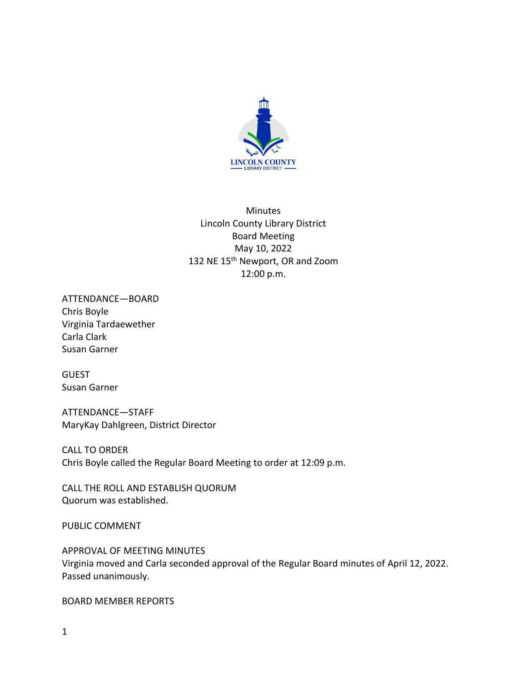

Minutes Lincoln County Library District Board Meeting May 10, 2022 132 NE 15<sup>th</sup> Newport, OR and Zoom 12:00 p.m.

ATTENDANCE—BOARD Chris Boyle Virginia Tardaewether Carla Clark Susan Garner

GUEST Susan Garner

ATTENDANCE—STAFF MaryKay Dahlgreen, District Director

CALL TO ORDER Chris Boyle called the Regular Board Meeting to order at 12:09 p.m.

CALL THE ROLL AND ESTABLISH QUORUM Quorum was established.

PUBLIC COMMENT

APPROVAL OF MEETING MINUTES Virginia moved and Carla seconded approval of the Regular Board minutes of April 12, 2022. Passed unanimously.

BOARD MEMBER REPORTS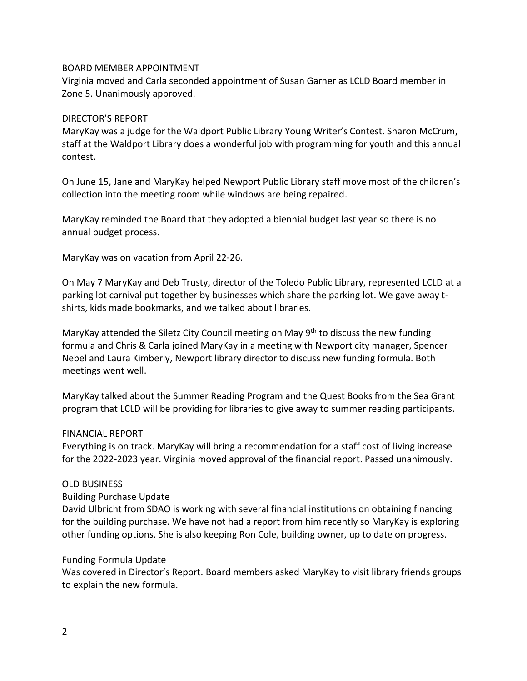# BOARD MEMBER APPOINTMENT

Virginia moved and Carla seconded appointment of Susan Garner as LCLD Board member in Zone 5. Unanimously approved.

# DIRECTOR'S REPORT

MaryKay was a judge for the Waldport Public Library Young Writer's Contest. Sharon McCrum, staff at the Waldport Library does a wonderful job with programming for youth and this annual contest.

On June 15, Jane and MaryKay helped Newport Public Library staff move most of the children's collection into the meeting room while windows are being repaired.

MaryKay reminded the Board that they adopted a biennial budget last year so there is no annual budget process.

MaryKay was on vacation from April 22-26.

On May 7 MaryKay and Deb Trusty, director of the Toledo Public Library, represented LCLD at a parking lot carnival put together by businesses which share the parking lot. We gave away tshirts, kids made bookmarks, and we talked about libraries.

MaryKay attended the Siletz City Council meeting on May  $9<sup>th</sup>$  to discuss the new funding formula and Chris & Carla joined MaryKay in a meeting with Newport city manager, Spencer Nebel and Laura Kimberly, Newport library director to discuss new funding formula. Both meetings went well.

MaryKay talked about the Summer Reading Program and the Quest Books from the Sea Grant program that LCLD will be providing for libraries to give away to summer reading participants.

## FINANCIAL REPORT

Everything is on track. MaryKay will bring a recommendation for a staff cost of living increase for the 2022-2023 year. Virginia moved approval of the financial report. Passed unanimously.

# OLD BUSINESS

Building Purchase Update

David Ulbricht from SDAO is working with several financial institutions on obtaining financing for the building purchase. We have not had a report from him recently so MaryKay is exploring other funding options. She is also keeping Ron Cole, building owner, up to date on progress.

## Funding Formula Update

Was covered in Director's Report. Board members asked MaryKay to visit library friends groups to explain the new formula.